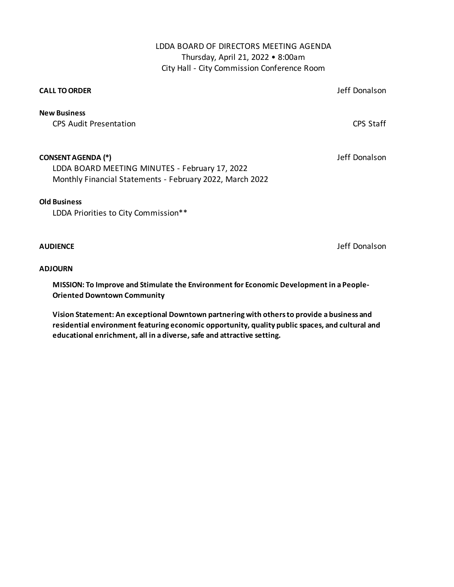### LDDA BOARD OF DIRECTORS MEETING AGENDA Thursday, April 21, 2022 • 8:00am City Hall - City Commission Conference Room

#### **CALL TO ORDER**

Jeff Donalson

CPS Audit Presentation CPS Staff **New Business**

#### **CONSENT AGENDA (\*)**

Jeff Donalson

Monthly Financial Statements - February 2022, March 2022 LDDA BOARD MEETING MINUTES - February 17, 2022

#### **Old Business**

LDDA Priorities to City Commission\*\*

#### **AUDIENCE**

Jeff Donalson

#### **ADJOURN**

**MISSION: To Improve and Stimulate the Environment for Economic Development in a People-Oriented Downtown Community**

**Vision Statement: An exceptional Downtown partnering with others to provide a business and residential environment featuring economic opportunity, quality public spaces, and cultural and educational enrichment, all in a diverse, safe and attractive setting.**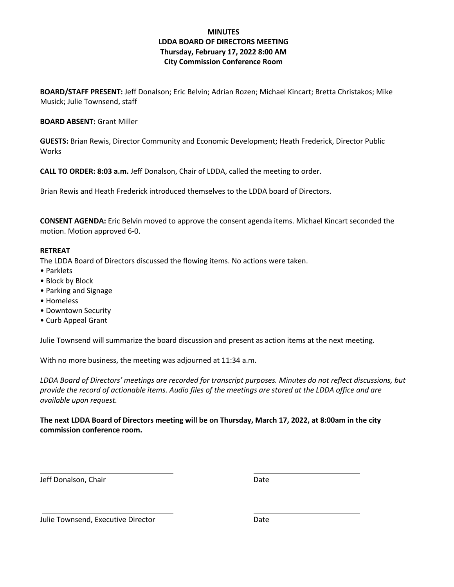### **MINUTES LDDA BOARD OF DIRECTORS MEETING Thursday, February 17, 2022 8:00 AM City Commission Conference Room**

**BOARD/STAFF PRESENT:** Jeff Donalson; Eric Belvin; Adrian Rozen; Michael Kincart; Bretta Christakos; Mike Musick; Julie Townsend, staff

**BOARD ABSENT:** Grant Miller

**GUESTS:** Brian Rewis, Director Community and Economic Development; Heath Frederick, Director Public Works

**CALL TO ORDER: 8:03 a.m.** Jeff Donalson, Chair of LDDA, called the meeting to order.

Brian Rewis and Heath Frederick introduced themselves to the LDDA board of Directors.

**CONSENT AGENDA:** Eric Belvin moved to approve the consent agenda items. Michael Kincart seconded the motion. Motion approved 6-0.

#### **RETREAT**

The LDDA Board of Directors discussed the flowing items. No actions were taken.

- Parklets
- Block by Block
- Parking and Signage
- Homeless
- Downtown Security
- Curb Appeal Grant

Julie Townsend will summarize the board discussion and present as action items at the next meeting.

With no more business, the meeting was adjourned at 11:34 a.m.

*LDDA Board of Directors' meetings are recorded for transcript purposes. Minutes do not reflect discussions, but provide the record of actionable items. Audio files of the meetings are stored at the LDDA office and are available upon request.*

**The next LDDA Board of Directors meeting will be on Thursday, March 17, 2022, at 8:00am in the city commission conference room.** 

Jeff Donalson, Chair Date Date Date

Julie Townsend, Executive Director **Date** Date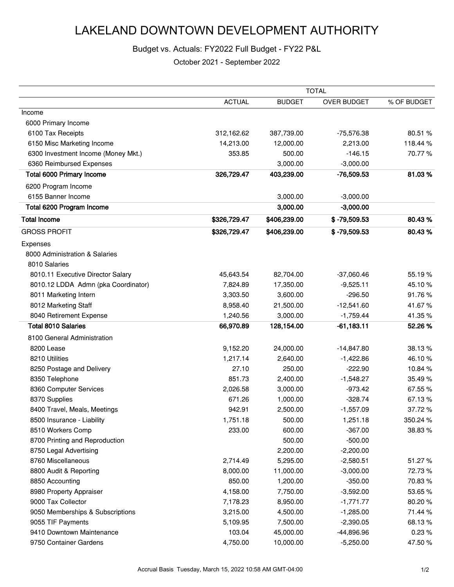### Budget vs. Actuals: FY2022 Full Budget - FY22 P&L

|                                     | <b>TOTAL</b>  |               |                |             |
|-------------------------------------|---------------|---------------|----------------|-------------|
|                                     | <b>ACTUAL</b> | <b>BUDGET</b> | OVER BUDGET    | % OF BUDGET |
| Income                              |               |               |                |             |
| 6000 Primary Income                 |               |               |                |             |
| 6100 Tax Receipts                   | 312,162.62    | 387,739.00    | -75,576.38     | 80.51 %     |
| 6150 Misc Marketing Income          | 14,213.00     | 12,000.00     | 2,213.00       | 118.44 %    |
| 6300 Investment Income (Money Mkt.) | 353.85        | 500.00        | $-146.15$      | 70.77%      |
| 6360 Reimbursed Expenses            |               | 3,000.00      | $-3,000.00$    |             |
| Total 6000 Primary Income           | 326,729.47    | 403,239.00    | $-76,509.53$   | 81.03%      |
| 6200 Program Income                 |               |               |                |             |
| 6155 Banner Income                  |               | 3,000.00      | $-3,000.00$    |             |
| Total 6200 Program Income           |               | 3,000.00      | $-3,000.00$    |             |
| <b>Total Income</b>                 | \$326,729.47  | \$406,239.00  | $$ -79,509.53$ | 80.43 %     |
| <b>GROSS PROFIT</b>                 | \$326,729.47  | \$406,239.00  | $$ -79,509.53$ | 80.43%      |
| Expenses                            |               |               |                |             |
| 8000 Administration & Salaries      |               |               |                |             |
| 8010 Salaries                       |               |               |                |             |
| 8010.11 Executive Director Salary   | 45,643.54     | 82,704.00     | $-37,060.46$   | 55.19%      |
| 8010.12 LDDA Admn (pka Coordinator) | 7,824.89      | 17,350.00     | $-9,525.11$    | 45.10%      |
| 8011 Marketing Intern               | 3,303.50      | 3,600.00      | $-296.50$      | 91.76%      |
| 8012 Marketing Staff                | 8,958.40      | 21,500.00     | $-12,541.60$   | 41.67%      |
| 8040 Retirement Expense             | 1,240.56      | 3,000.00      | $-1,759.44$    | 41.35%      |
| <b>Total 8010 Salaries</b>          | 66,970.89     | 128,154.00    | $-61,183.11$   | 52.26%      |
| 8100 General Administration         |               |               |                |             |
| 8200 Lease                          | 9,152.20      | 24,000.00     | $-14,847.80$   | 38.13%      |
| 8210 Utilities                      | 1,217.14      | 2,640.00      | $-1,422.86$    | 46.10%      |
| 8250 Postage and Delivery           | 27.10         | 250.00        | $-222.90$      | 10.84%      |
| 8350 Telephone                      | 851.73        | 2,400.00      | $-1,548.27$    | 35.49%      |
| 8360 Computer Services              | 2,026.58      | 3,000.00      | $-973.42$      | 67.55%      |
| 8370 Supplies                       | 671.26        | 1,000.00      | $-328.74$      | 67.13%      |
| 8400 Travel, Meals, Meetings        | 942.91        | 2,500.00      | $-1,557.09$    | 37.72%      |
| 8500 Insurance - Liability          | 1,751.18      | 500.00        | 1,251.18       | 350.24 %    |
| 8510 Workers Comp                   | 233.00        | 600.00        | $-367.00$      | 38.83%      |
| 8700 Printing and Reproduction      |               | 500.00        | $-500.00$      |             |
| 8750 Legal Advertising              |               | 2,200.00      | $-2,200.00$    |             |
| 8760 Miscellaneous                  | 2,714.49      | 5,295.00      | $-2,580.51$    | 51.27%      |
| 8800 Audit & Reporting              | 8,000.00      | 11,000.00     | $-3,000.00$    | 72.73%      |
| 8850 Accounting                     | 850.00        | 1,200.00      | $-350.00$      | 70.83%      |
| 8980 Property Appraiser             | 4,158.00      | 7,750.00      | $-3,592.00$    | 53.65%      |
| 9000 Tax Collector                  | 7,178.23      | 8,950.00      | $-1,771.77$    | 80.20%      |
| 9050 Memberships & Subscriptions    | 3,215.00      | 4,500.00      | $-1,285.00$    | 71.44 %     |
| 9055 TIF Payments                   | 5,109.95      | 7,500.00      | $-2,390.05$    | 68.13%      |
| 9410 Downtown Maintenance           | 103.04        | 45,000.00     | -44,896.96     | 0.23%       |
| 9750 Container Gardens              | 4,750.00      | 10,000.00     | $-5,250.00$    | 47.50%      |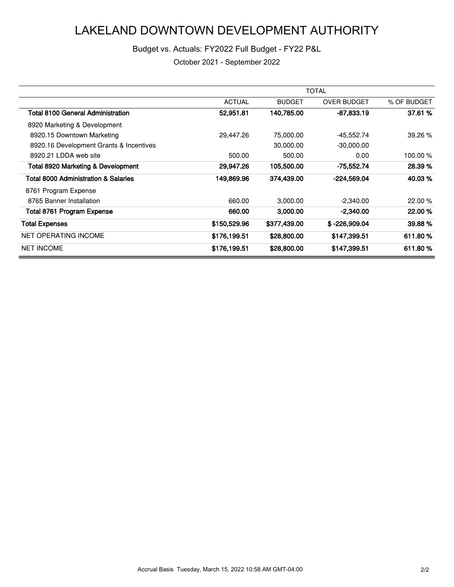### Budget vs. Actuals: FY2022 Full Budget - FY22 P&L

|                                                 | <b>TOTAL</b>  |               |                    |             |
|-------------------------------------------------|---------------|---------------|--------------------|-------------|
|                                                 | <b>ACTUAL</b> | <b>BUDGET</b> | <b>OVER BUDGET</b> | % OF BUDGET |
| <b>Total 8100 General Administration</b>        | 52,951.81     | 140,785.00    | $-87,833.19$       | 37.61 %     |
| 8920 Marketing & Development                    |               |               |                    |             |
| 8920.15 Downtown Marketing                      | 29,447.26     | 75,000.00     | -45,552.74         | 39.26 %     |
| 8920.16 Development Grants & Incentives         |               | 30,000.00     | $-30,000.00$       |             |
| 8920.21 LDDA web site                           | 500.00        | 500.00        | 0.00               | 100.00 %    |
| <b>Total 8920 Marketing &amp; Development</b>   | 29,947.26     | 105,500.00    | -75,552.74         | 28.39 %     |
| <b>Total 8000 Administration &amp; Salaries</b> | 149,869.96    | 374,439.00    | $-224,569.04$      | 40.03%      |
| 8761 Program Expense                            |               |               |                    |             |
| 8765 Banner Installation                        | 660.00        | 3,000.00      | $-2,340.00$        | 22.00 %     |
| Total 8761 Program Expense                      | 660.00        | 3,000.00      | $-2,340.00$        | 22.00 %     |
| <b>Total Expenses</b>                           | \$150,529.96  | \$377,439.00  | $$ -226,909.04$    | 39.88 %     |
| <b>NET OPERATING INCOME</b>                     | \$176,199.51  | \$28,800.00   | \$147,399.51       | 611.80%     |
| <b>NET INCOME</b>                               | \$176,199.51  | \$28,800.00   | \$147,399.51       | 611.80%     |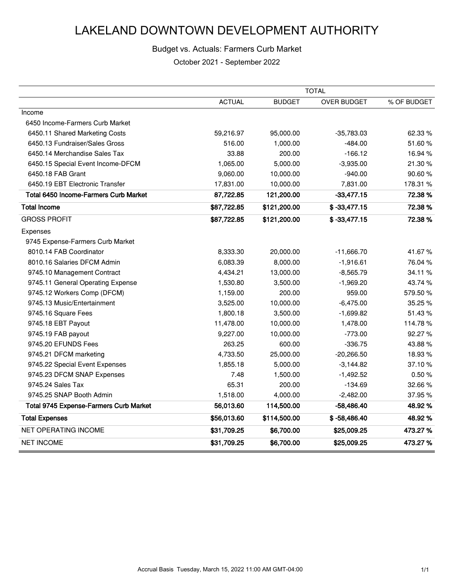### Budget vs. Actuals: Farmers Curb Market

|                                        | <b>TOTAL</b>  |               |                    |             |
|----------------------------------------|---------------|---------------|--------------------|-------------|
|                                        | <b>ACTUAL</b> | <b>BUDGET</b> | <b>OVER BUDGET</b> | % OF BUDGET |
| Income                                 |               |               |                    |             |
| 6450 Income-Farmers Curb Market        |               |               |                    |             |
| 6450.11 Shared Marketing Costs         | 59,216.97     | 95,000.00     | $-35,783.03$       | 62.33 %     |
| 6450.13 Fundraiser/Sales Gross         | 516.00        | 1,000.00      | $-484.00$          | 51.60%      |
| 6450.14 Merchandise Sales Tax          | 33.88         | 200.00        | $-166.12$          | 16.94 %     |
| 6450.15 Special Event Income-DFCM      | 1,065.00      | 5,000.00      | $-3,935.00$        | 21.30%      |
| 6450.18 FAB Grant                      | 9,060.00      | 10,000.00     | $-940.00$          | 90.60%      |
| 6450.19 EBT Electronic Transfer        | 17,831.00     | 10,000.00     | 7,831.00           | 178.31 %    |
| Total 6450 Income-Farmers Curb Market  | 87,722.85     | 121,200.00    | $-33,477.15$       | 72.38%      |
| <b>Total Income</b>                    | \$87,722.85   | \$121,200.00  | $$ -33,477.15$     | 72.38%      |
| <b>GROSS PROFIT</b>                    | \$87,722.85   | \$121,200.00  | $$ -33,477.15$     | 72.38%      |
| Expenses                               |               |               |                    |             |
| 9745 Expense-Farmers Curb Market       |               |               |                    |             |
| 8010.14 FAB Coordinator                | 8,333.30      | 20,000.00     | $-11,666.70$       | 41.67%      |
| 8010.16 Salaries DFCM Admin            | 6,083.39      | 8,000.00      | $-1,916.61$        | 76.04%      |
| 9745.10 Management Contract            | 4,434.21      | 13,000.00     | $-8,565.79$        | 34.11%      |
| 9745.11 General Operating Expense      | 1,530.80      | 3,500.00      | $-1,969.20$        | 43.74 %     |
| 9745.12 Workers Comp (DFCM)            | 1,159.00      | 200.00        | 959.00             | 579.50 %    |
| 9745.13 Music/Entertainment            | 3,525.00      | 10,000.00     | $-6,475.00$        | 35.25 %     |
| 9745.16 Square Fees                    | 1,800.18      | 3,500.00      | $-1,699.82$        | 51.43%      |
| 9745.18 EBT Payout                     | 11,478.00     | 10,000.00     | 1,478.00           | 114.78%     |
| 9745.19 FAB payout                     | 9,227.00      | 10,000.00     | $-773.00$          | 92.27%      |
| 9745.20 EFUNDS Fees                    | 263.25        | 600.00        | $-336.75$          | 43.88%      |
| 9745.21 DFCM marketing                 | 4,733.50      | 25,000.00     | $-20,266.50$       | 18.93%      |
| 9745.22 Special Event Expenses         | 1,855.18      | 5,000.00      | $-3,144.82$        | 37.10%      |
| 9745.23 DFCM SNAP Expenses             | 7.48          | 1,500.00      | $-1,492.52$        | 0.50%       |
| 9745.24 Sales Tax                      | 65.31         | 200.00        | $-134.69$          | 32.66%      |
| 9745.25 SNAP Booth Admin               | 1,518.00      | 4,000.00      | $-2,482.00$        | 37.95%      |
| Total 9745 Expense-Farmers Curb Market | 56,013.60     | 114,500.00    | $-58,486.40$       | 48.92%      |
| <b>Total Expenses</b>                  | \$56,013.60   | \$114,500.00  | $$ -58,486.40$     | 48.92%      |
| NET OPERATING INCOME                   | \$31,709.25   | \$6,700.00    | \$25,009.25        | 473.27%     |
| <b>NET INCOME</b>                      | \$31,709.25   | \$6,700.00    | \$25,009.25        | 473.27%     |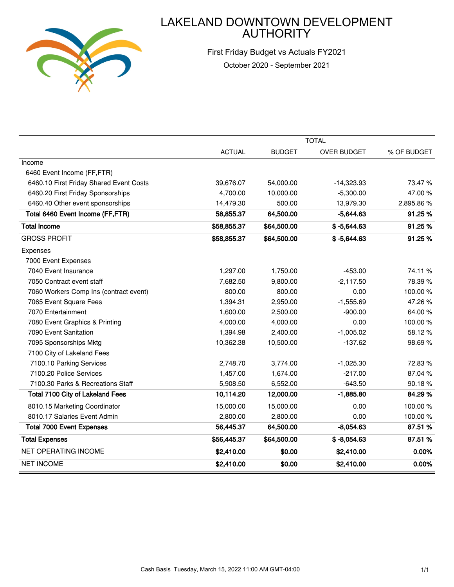

First Friday Budget vs Actuals FY2021 October 2020 - September 2021

|                                         | <b>TOTAL</b>  |               |                    |             |
|-----------------------------------------|---------------|---------------|--------------------|-------------|
|                                         | <b>ACTUAL</b> | <b>BUDGET</b> | <b>OVER BUDGET</b> | % OF BUDGET |
| Income                                  |               |               |                    |             |
| 6460 Event Income (FF,FTR)              |               |               |                    |             |
| 6460.10 First Friday Shared Event Costs | 39,676.07     | 54,000.00     | $-14,323.93$       | 73.47%      |
| 6460.20 First Friday Sponsorships       | 4,700.00      | 10,000.00     | $-5,300.00$        | 47.00%      |
| 6460.40 Other event sponsorships        | 14,479.30     | 500.00        | 13,979.30          | 2,895.86%   |
| Total 6460 Event Income (FF,FTR)        | 58,855.37     | 64,500.00     | $-5,644.63$        | 91.25%      |
| <b>Total Income</b>                     | \$58,855.37   | \$64,500.00   | $$ -5,644.63$      | 91.25%      |
| <b>GROSS PROFIT</b>                     | \$58,855.37   | \$64,500.00   | $$ -5,644.63$      | 91.25%      |
| Expenses                                |               |               |                    |             |
| 7000 Event Expenses                     |               |               |                    |             |
| 7040 Event Insurance                    | 1,297.00      | 1,750.00      | $-453.00$          | 74.11%      |
| 7050 Contract event staff               | 7,682.50      | 9,800.00      | $-2,117.50$        | 78.39%      |
| 7060 Workers Comp Ins (contract event)  | 800.00        | 800.00        | 0.00               | 100.00%     |
| 7065 Event Square Fees                  | 1,394.31      | 2,950.00      | $-1,555.69$        | 47.26%      |
| 7070 Entertainment                      | 1,600.00      | 2,500.00      | $-900.00$          | 64.00%      |
| 7080 Event Graphics & Printing          | 4,000.00      | 4,000.00      | 0.00               | 100.00%     |
| 7090 Event Sanitation                   | 1,394.98      | 2,400.00      | $-1,005.02$        | 58.12%      |
| 7095 Sponsorships Mktg                  | 10,362.38     | 10,500.00     | $-137.62$          | 98.69%      |
| 7100 City of Lakeland Fees              |               |               |                    |             |
| 7100.10 Parking Services                | 2,748.70      | 3,774.00      | $-1,025.30$        | 72.83%      |
| 7100.20 Police Services                 | 1,457.00      | 1,674.00      | $-217.00$          | 87.04%      |
| 7100.30 Parks & Recreations Staff       | 5,908.50      | 6,552.00      | $-643.50$          | 90.18%      |
| <b>Total 7100 City of Lakeland Fees</b> | 10,114.20     | 12,000.00     | $-1,885.80$        | 84.29%      |
| 8010.15 Marketing Coordinator           | 15,000.00     | 15,000.00     | 0.00               | 100.00%     |
| 8010.17 Salaries Event Admin            | 2,800.00      | 2,800.00      | 0.00               | 100.00%     |
| <b>Total 7000 Event Expenses</b>        | 56,445.37     | 64,500.00     | $-8,054.63$        | 87.51 %     |
| <b>Total Expenses</b>                   | \$56,445.37   | \$64,500.00   | $$ -8,054.63$      | 87.51 %     |
| NET OPERATING INCOME                    | \$2,410.00    | \$0.00        | \$2,410.00         | 0.00%       |
| <b>NET INCOME</b>                       | \$2,410.00    | \$0.00        | \$2,410.00         | 0.00%       |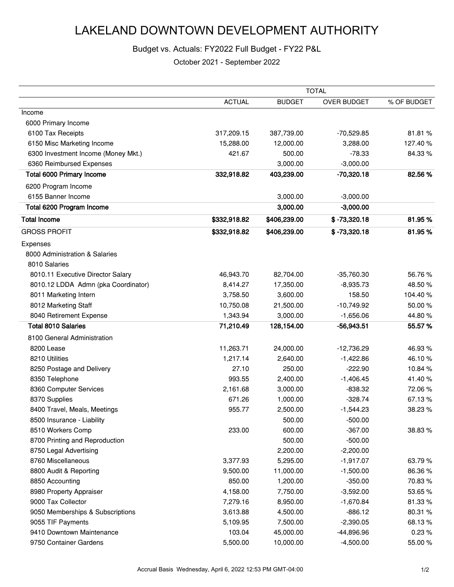### Budget vs. Actuals: FY2022 Full Budget - FY22 P&L

|                                     | <b>TOTAL</b>  |               |                    |             |
|-------------------------------------|---------------|---------------|--------------------|-------------|
|                                     | <b>ACTUAL</b> | <b>BUDGET</b> | <b>OVER BUDGET</b> | % OF BUDGET |
| Income                              |               |               |                    |             |
| 6000 Primary Income                 |               |               |                    |             |
| 6100 Tax Receipts                   | 317,209.15    | 387,739.00    | $-70,529.85$       | 81.81%      |
| 6150 Misc Marketing Income          | 15,288.00     | 12,000.00     | 3,288.00           | 127.40%     |
| 6300 Investment Income (Money Mkt.) | 421.67        | 500.00        | $-78.33$           | 84.33%      |
| 6360 Reimbursed Expenses            |               | 3,000.00      | $-3,000.00$        |             |
| <b>Total 6000 Primary Income</b>    | 332,918.82    | 403,239.00    | $-70,320.18$       | 82.56%      |
| 6200 Program Income                 |               |               |                    |             |
| 6155 Banner Income                  |               | 3,000.00      | $-3,000.00$        |             |
| Total 6200 Program Income           |               | 3,000.00      | $-3,000.00$        |             |
| <b>Total Income</b>                 | \$332,918.82  | \$406,239.00  | $$ -73,320.18$     | 81.95%      |
| <b>GROSS PROFIT</b>                 | \$332,918.82  | \$406,239.00  | $$ -73,320.18$     | 81.95%      |
| Expenses                            |               |               |                    |             |
| 8000 Administration & Salaries      |               |               |                    |             |
| 8010 Salaries                       |               |               |                    |             |
| 8010.11 Executive Director Salary   | 46,943.70     | 82,704.00     | $-35,760.30$       | 56.76%      |
| 8010.12 LDDA Admn (pka Coordinator) | 8,414.27      | 17,350.00     | $-8,935.73$        | 48.50%      |
| 8011 Marketing Intern               | 3,758.50      | 3,600.00      | 158.50             | 104.40%     |
| 8012 Marketing Staff                | 10,750.08     | 21,500.00     | $-10,749.92$       | 50.00%      |
| 8040 Retirement Expense             | 1,343.94      | 3,000.00      | $-1,656.06$        | 44.80%      |
| <b>Total 8010 Salaries</b>          | 71,210.49     | 128,154.00    | $-56,943.51$       | 55.57%      |
| 8100 General Administration         |               |               |                    |             |
| 8200 Lease                          | 11,263.71     | 24,000.00     | $-12,736.29$       | 46.93%      |
| 8210 Utilities                      | 1,217.14      | 2,640.00      | $-1,422.86$        | 46.10%      |
| 8250 Postage and Delivery           | 27.10         | 250.00        | $-222.90$          | 10.84 %     |
| 8350 Telephone                      | 993.55        | 2,400.00      | $-1,406.45$        | 41.40%      |
| 8360 Computer Services              | 2,161.68      | 3,000.00      | $-838.32$          | 72.06%      |
| 8370 Supplies                       | 671.26        | 1,000.00      | $-328.74$          | 67.13%      |
| 8400 Travel, Meals, Meetings        | 955.77        | 2,500.00      | $-1,544.23$        | 38.23%      |
| 8500 Insurance - Liability          |               | 500.00        | $-500.00$          |             |
| 8510 Workers Comp                   | 233.00        | 600.00        | $-367.00$          | 38.83%      |
| 8700 Printing and Reproduction      |               | 500.00        | $-500.00$          |             |
| 8750 Legal Advertising              |               | 2,200.00      | $-2,200.00$        |             |
| 8760 Miscellaneous                  | 3,377.93      | 5,295.00      | $-1,917.07$        | 63.79%      |
| 8800 Audit & Reporting              | 9,500.00      | 11,000.00     | $-1,500.00$        | 86.36%      |
| 8850 Accounting                     | 850.00        | 1,200.00      | $-350.00$          | 70.83%      |
| 8980 Property Appraiser             | 4,158.00      | 7,750.00      | $-3,592.00$        | 53.65%      |
| 9000 Tax Collector                  | 7,279.16      | 8,950.00      | $-1,670.84$        | 81.33%      |
| 9050 Memberships & Subscriptions    | 3,613.88      | 4,500.00      | $-886.12$          | 80.31%      |
| 9055 TIF Payments                   | 5,109.95      | 7,500.00      | $-2,390.05$        | 68.13%      |
| 9410 Downtown Maintenance           | 103.04        | 45,000.00     | -44,896.96         | 0.23%       |
| 9750 Container Gardens              | 5,500.00      | 10,000.00     | $-4,500.00$        | 55.00 %     |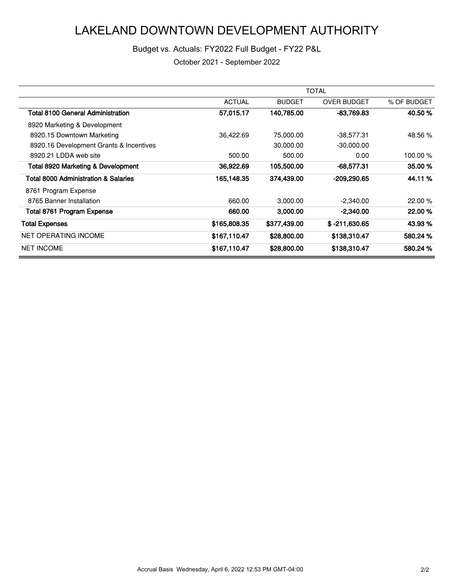### Budget vs. Actuals: FY2022 Full Budget - FY22 P&L

|                                                 | <b>TOTAL</b>  |               |                    |             |
|-------------------------------------------------|---------------|---------------|--------------------|-------------|
|                                                 | <b>ACTUAL</b> | <b>BUDGET</b> | <b>OVER BUDGET</b> | % OF BUDGET |
| <b>Total 8100 General Administration</b>        | 57,015.17     | 140,785.00    | -83,769.83         | 40.50 %     |
| 8920 Marketing & Development                    |               |               |                    |             |
| 8920.15 Downtown Marketing                      | 36,422.69     | 75,000.00     | $-38,577.31$       | 48.56 %     |
| 8920.16 Development Grants & Incentives         |               | 30,000.00     | $-30,000.00$       |             |
| 8920.21 LDDA web site                           | 500.00        | 500.00        | 0.00               | 100.00 %    |
| <b>Total 8920 Marketing &amp; Development</b>   | 36,922.69     | 105,500.00    | $-68,577.31$       | 35.00 %     |
| <b>Total 8000 Administration &amp; Salaries</b> | 165,148.35    | 374,439.00    | $-209,290.65$      | 44.11 %     |
| 8761 Program Expense                            |               |               |                    |             |
| 8765 Banner Installation                        | 660.00        | 3,000.00      | $-2,340.00$        | 22.00 %     |
| Total 8761 Program Expense                      | 660.00        | 3,000.00      | $-2,340.00$        | 22.00 %     |
| <b>Total Expenses</b>                           | \$165,808.35  | \$377,439.00  | $$ -211,630.65$    | 43.93 %     |
| <b>NET OPERATING INCOME</b>                     | \$167,110.47  | \$28,800.00   | \$138,310.47       | 580.24 %    |
| <b>NET INCOME</b>                               | \$167,110.47  | \$28,800.00   | \$138,310.47       | 580.24 %    |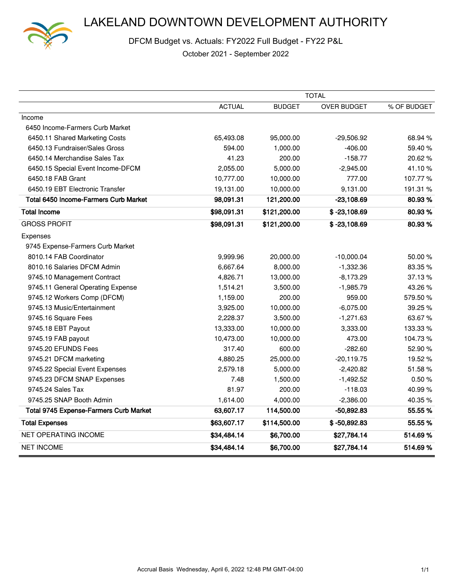

DFCM Budget vs. Actuals: FY2022 Full Budget - FY22 P&L

|                                               | <b>TOTAL</b>  |               |                    |             |
|-----------------------------------------------|---------------|---------------|--------------------|-------------|
|                                               | <b>ACTUAL</b> | <b>BUDGET</b> | <b>OVER BUDGET</b> | % OF BUDGET |
| Income                                        |               |               |                    |             |
| 6450 Income-Farmers Curb Market               |               |               |                    |             |
| 6450.11 Shared Marketing Costs                | 65,493.08     | 95,000.00     | $-29,506.92$       | 68.94%      |
| 6450.13 Fundraiser/Sales Gross                | 594.00        | 1,000.00      | $-406.00$          | 59.40%      |
| 6450.14 Merchandise Sales Tax                 | 41.23         | 200.00        | $-158.77$          | 20.62%      |
| 6450.15 Special Event Income-DFCM             | 2,055.00      | 5,000.00      | $-2,945.00$        | 41.10%      |
| 6450.18 FAB Grant                             | 10,777.00     | 10,000.00     | 777.00             | 107.77%     |
| 6450.19 EBT Electronic Transfer               | 19,131.00     | 10,000.00     | 9,131.00           | 191.31 %    |
| Total 6450 Income-Farmers Curb Market         | 98,091.31     | 121,200.00    | $-23,108.69$       | 80.93%      |
| <b>Total Income</b>                           | \$98,091.31   | \$121,200.00  | $$ -23,108.69$     | 80.93%      |
| <b>GROSS PROFIT</b>                           | \$98,091.31   | \$121,200.00  | $$ -23,108.69$     | 80.93%      |
| Expenses                                      |               |               |                    |             |
| 9745 Expense-Farmers Curb Market              |               |               |                    |             |
| 8010.14 FAB Coordinator                       | 9,999.96      | 20,000.00     | $-10,000.04$       | 50.00 %     |
| 8010.16 Salaries DFCM Admin                   | 6,667.64      | 8,000.00      | $-1,332.36$        | 83.35%      |
| 9745.10 Management Contract                   | 4,826.71      | 13,000.00     | $-8,173.29$        | 37.13%      |
| 9745.11 General Operating Expense             | 1,514.21      | 3,500.00      | $-1,985.79$        | 43.26%      |
| 9745.12 Workers Comp (DFCM)                   | 1,159.00      | 200.00        | 959.00             | 579.50 %    |
| 9745.13 Music/Entertainment                   | 3,925.00      | 10,000.00     | $-6,075.00$        | 39.25%      |
| 9745.16 Square Fees                           | 2,228.37      | 3,500.00      | $-1,271.63$        | 63.67%      |
| 9745.18 EBT Payout                            | 13,333.00     | 10,000.00     | 3,333.00           | 133.33 %    |
| 9745.19 FAB payout                            | 10,473.00     | 10,000.00     | 473.00             | 104.73%     |
| 9745.20 EFUNDS Fees                           | 317.40        | 600.00        | $-282.60$          | 52.90%      |
| 9745.21 DFCM marketing                        | 4,880.25      | 25,000.00     | $-20,119.75$       | 19.52%      |
| 9745.22 Special Event Expenses                | 2,579.18      | 5,000.00      | $-2,420.82$        | 51.58%      |
| 9745.23 DFCM SNAP Expenses                    | 7.48          | 1,500.00      | $-1,492.52$        | 0.50%       |
| 9745.24 Sales Tax                             | 81.97         | 200.00        | $-118.03$          | 40.99%      |
| 9745.25 SNAP Booth Admin                      | 1,614.00      | 4,000.00      | $-2,386.00$        | 40.35%      |
| <b>Total 9745 Expense-Farmers Curb Market</b> | 63,607.17     | 114,500.00    | $-50,892.83$       | 55.55 %     |
| <b>Total Expenses</b>                         | \$63,607.17   | \$114,500.00  | $$ -50,892.83$     | 55.55 %     |
| NET OPERATING INCOME                          | \$34,484.14   | \$6,700.00    | \$27,784.14        | 514.69%     |
| <b>NET INCOME</b>                             | \$34,484.14   | \$6,700.00    | \$27,784.14        | 514.69%     |